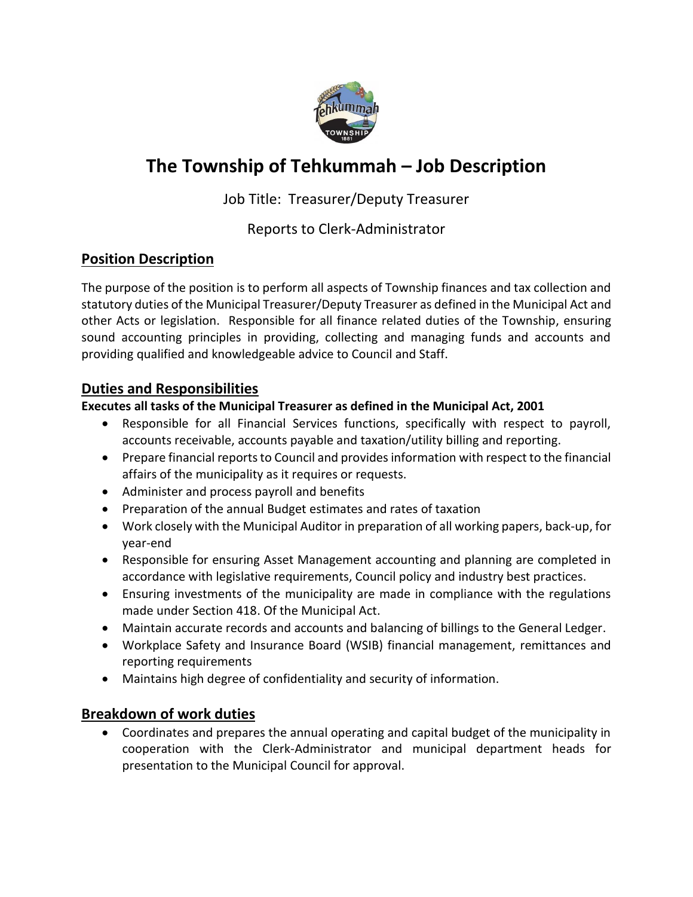

# **The Township of Tehkummah – Job Description**

## Job Title: Treasurer/Deputy Treasurer

## Reports to Clerk-Administrator

## **Position Description**

The purpose of the position is to perform all aspects of Township finances and tax collection and statutory duties of the Municipal Treasurer/Deputy Treasurer as defined in the Municipal Act and other Acts or legislation. Responsible for all finance related duties of the Township, ensuring sound accounting principles in providing, collecting and managing funds and accounts and providing qualified and knowledgeable advice to Council and Staff.

## **Duties and Responsibilities**

#### **Executes all tasks of the Municipal Treasurer as defined in the Municipal Act, 2001**

- Responsible for all Financial Services functions, specifically with respect to payroll, accounts receivable, accounts payable and taxation/utility billing and reporting.
- Prepare financial reports to Council and provides information with respect to the financial affairs of the municipality as it requires or requests.
- Administer and process payroll and benefits
- Preparation of the annual Budget estimates and rates of taxation
- Work closely with the Municipal Auditor in preparation of all working papers, back-up, for year-end
- Responsible for ensuring Asset Management accounting and planning are completed in accordance with legislative requirements, Council policy and industry best practices.
- Ensuring investments of the municipality are made in compliance with the regulations made under Section 418. Of the Municipal Act.
- Maintain accurate records and accounts and balancing of billings to the General Ledger.
- Workplace Safety and Insurance Board (WSIB) financial management, remittances and reporting requirements
- Maintains high degree of confidentiality and security of information.

## **Breakdown of work duties**

• Coordinates and prepares the annual operating and capital budget of the municipality in cooperation with the Clerk-Administrator and municipal department heads for presentation to the Municipal Council for approval.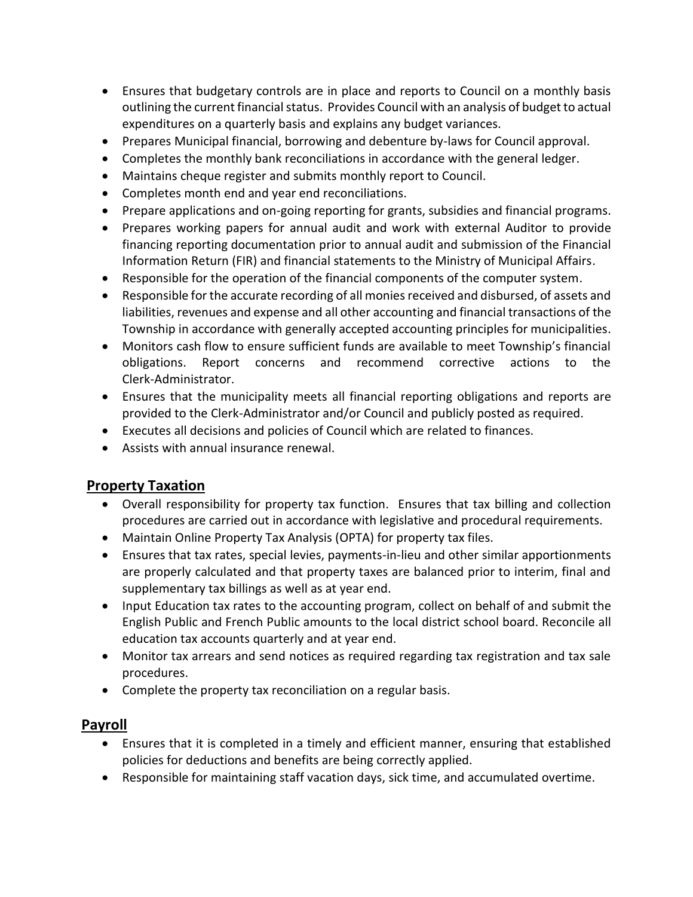- Ensures that budgetary controls are in place and reports to Council on a monthly basis outlining the current financial status. Provides Council with an analysis of budget to actual expenditures on a quarterly basis and explains any budget variances.
- Prepares Municipal financial, borrowing and debenture by-laws for Council approval.
- Completes the monthly bank reconciliations in accordance with the general ledger.
- Maintains cheque register and submits monthly report to Council.
- Completes month end and year end reconciliations.
- Prepare applications and on-going reporting for grants, subsidies and financial programs.
- Prepares working papers for annual audit and work with external Auditor to provide financing reporting documentation prior to annual audit and submission of the Financial Information Return (FIR) and financial statements to the Ministry of Municipal Affairs.
- Responsible for the operation of the financial components of the computer system.
- Responsible for the accurate recording of all monies received and disbursed, of assets and liabilities, revenues and expense and all other accounting and financial transactions of the Township in accordance with generally accepted accounting principles for municipalities.
- Monitors cash flow to ensure sufficient funds are available to meet Township's financial obligations. Report concerns and recommend corrective actions to the Clerk-Administrator.
- Ensures that the municipality meets all financial reporting obligations and reports are provided to the Clerk-Administrator and/or Council and publicly posted as required.
- Executes all decisions and policies of Council which are related to finances.
- Assists with annual insurance renewal.

## **Property Taxation**

- Overall responsibility for property tax function. Ensures that tax billing and collection procedures are carried out in accordance with legislative and procedural requirements.
- Maintain Online Property Tax Analysis (OPTA) for property tax files.
- Ensures that tax rates, special levies, payments-in-lieu and other similar apportionments are properly calculated and that property taxes are balanced prior to interim, final and supplementary tax billings as well as at year end.
- Input Education tax rates to the accounting program, collect on behalf of and submit the English Public and French Public amounts to the local district school board. Reconcile all education tax accounts quarterly and at year end.
- Monitor tax arrears and send notices as required regarding tax registration and tax sale procedures.
- Complete the property tax reconciliation on a regular basis.

## **Payroll**

- Ensures that it is completed in a timely and efficient manner, ensuring that established policies for deductions and benefits are being correctly applied.
- Responsible for maintaining staff vacation days, sick time, and accumulated overtime.